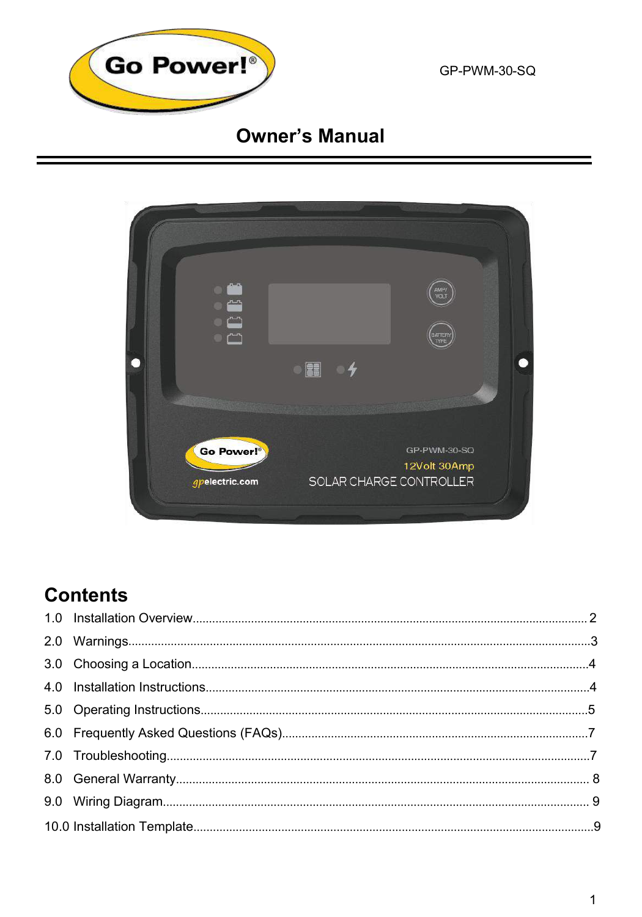

GP-PWM-30-SQ

# **Owner's Manual**



# **Contents**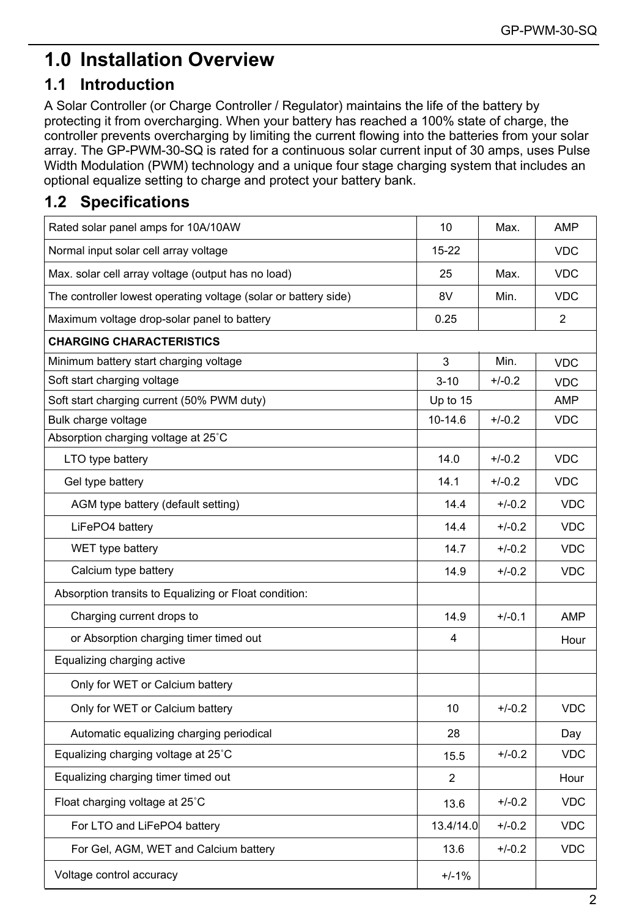# **1.0 Installation Overview**

# **1.1 Introduction**

A Solar Controller (or Charge Controller / Regulator) maintains the life of the battery by protecting it from overcharging. When your battery has reached a 100% state of charge, the controller prevents overcharging by limiting the current flowing into the batteries from your solar array. The GP-PWM-30-SQ is rated for a continuous solar current input of 30 amps, uses Pulse Width Modulation (PWM) technology and a unique four stage charging system that includes an optional equalize setting to charge and protect your battery bank.

# **1.2 Specifications**

| Rated solar panel amps for 10A/10AW                             | 10             | Max.     | AMP        |
|-----------------------------------------------------------------|----------------|----------|------------|
| Normal input solar cell array voltage                           | $15 - 22$      |          | <b>VDC</b> |
| Max. solar cell array voltage (output has no load)              | 25             | Max.     | <b>VDC</b> |
| The controller lowest operating voltage (solar or battery side) | 8V             | Min.     | <b>VDC</b> |
| Maximum voltage drop-solar panel to battery                     | 0.25           |          | 2          |
| <b>CHARGING CHARACTERISTICS</b>                                 |                |          |            |
| Minimum battery start charging voltage                          | 3              | Min.     | <b>VDC</b> |
| Soft start charging voltage                                     | $3 - 10$       | $+/-0.2$ | <b>VDC</b> |
| Soft start charging current (50% PWM duty)                      | Up to 15       |          | AMP        |
| Bulk charge voltage                                             | 10-14.6        | $+/-0.2$ | <b>VDC</b> |
| Absorption charging voltage at 25°C                             |                |          |            |
| LTO type battery                                                | 14.0           | $+/-0.2$ | <b>VDC</b> |
| Gel type battery                                                | 14.1           | $+/-0.2$ | <b>VDC</b> |
| AGM type battery (default setting)                              | 14.4           | $+/-0.2$ | <b>VDC</b> |
| LiFePO4 battery                                                 | 14.4           | $+/-0.2$ | <b>VDC</b> |
| WET type battery                                                | 14.7           | $+/-0.2$ | <b>VDC</b> |
| Calcium type battery                                            | 14.9           | $+/-0.2$ | <b>VDC</b> |
| Absorption transits to Equalizing or Float condition:           |                |          |            |
| Charging current drops to                                       | 14.9           | $+/-0.1$ | AMP        |
| or Absorption charging timer timed out                          | 4              |          | Hour       |
| Equalizing charging active                                      |                |          |            |
| Only for WET or Calcium battery                                 |                |          |            |
| Only for WET or Calcium battery                                 | 10             | $+/-0.2$ | <b>VDC</b> |
| Automatic equalizing charging periodical                        | 28             |          | Day        |
| Equalizing charging voltage at 25°C                             | 15.5           | $+/-0.2$ | <b>VDC</b> |
| Equalizing charging timer timed out                             | $\overline{2}$ |          | Hour       |
| Float charging voltage at 25°C                                  | 13.6           | $+/-0.2$ | <b>VDC</b> |
| For LTO and LiFePO4 battery                                     | 13.4/14.0      | $+/-0.2$ | <b>VDC</b> |
| For Gel, AGM, WET and Calcium battery                           | 13.6           | $+/-0.2$ | <b>VDC</b> |
| Voltage control accuracy                                        | $+/-1%$        |          |            |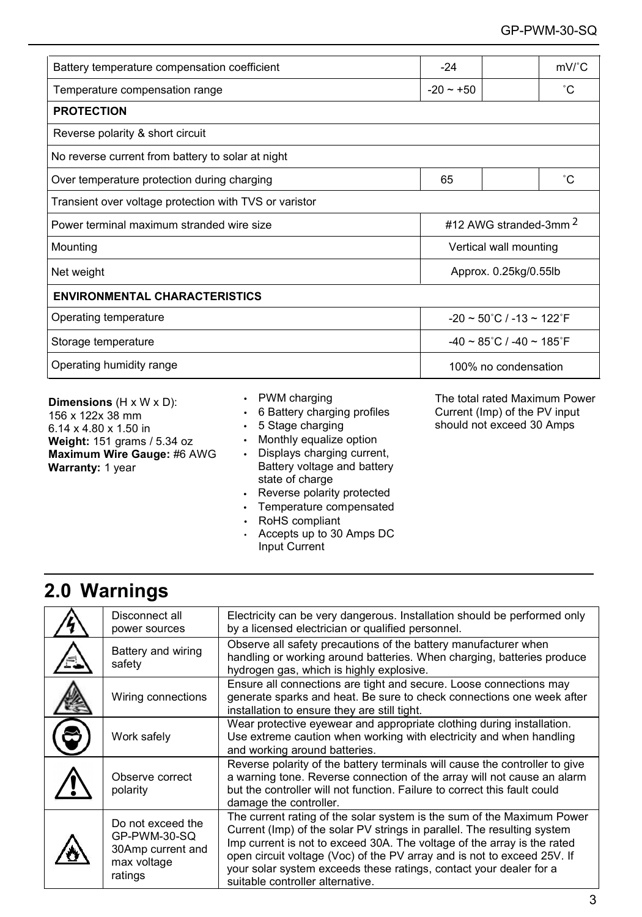| Battery temperature compensation coefficient                                | $-24$                                              | $mV$ <sup><math>c</math></sup> C |  |  |  |  |
|-----------------------------------------------------------------------------|----------------------------------------------------|----------------------------------|--|--|--|--|
| Temperature compensation range                                              | $-20 - 50$                                         | ۰c                               |  |  |  |  |
| <b>PROTECTION</b>                                                           |                                                    |                                  |  |  |  |  |
| Reverse polarity & short circuit                                            |                                                    |                                  |  |  |  |  |
| No reverse current from battery to solar at night                           |                                                    |                                  |  |  |  |  |
| Over temperature protection during charging                                 | 65                                                 | ۴C                               |  |  |  |  |
| Transient over voltage protection with TVS or varistor                      |                                                    |                                  |  |  |  |  |
| #12 AWG stranded-3mm 2<br>Power terminal maximum stranded wire size         |                                                    |                                  |  |  |  |  |
| Mounting                                                                    | Vertical wall mounting                             |                                  |  |  |  |  |
| Approx. 0.25kg/0.55lb<br>Net weight                                         |                                                    |                                  |  |  |  |  |
| <b>ENVIRONMENTAL CHARACTERISTICS</b>                                        |                                                    |                                  |  |  |  |  |
| Operating temperature<br>$-20 \sim 50^{\circ}$ C / $-13 \sim 122^{\circ}$ F |                                                    |                                  |  |  |  |  |
| Storage temperature                                                         | $-40 \sim 85^{\circ}$ C / $-40 \sim 185^{\circ}$ F |                                  |  |  |  |  |
| Operating humidity range                                                    | 100% no condensation                               |                                  |  |  |  |  |

**Dimensions** (H x W x D): 156 x 122x 38 mm 6.14 x 4.80 x 1.50 in **Weight:** 151 grams / 5.34 oz **Maximum Wire Gauge:** #6 AWG **Warranty:** 1 year

- PWM charging
- 6 Battery charging profiles
- 5 Stage charging
- Monthly equalize option
- Displays charging current, Battery voltage and battery state of charge
- Reverse polarity protected
- Temperature compensated
- RoHS compliant
- Accepts up to 30 Amps DC Input Current

The total rated Maximum Power Current (Imp) of the PV input should not exceed 30 Amps

# **2.0 Warnings**

| Disconnect all<br>power sources                                                  | Electricity can be very dangerous. Installation should be performed only<br>by a licensed electrician or qualified personnel.                                                                                                                                                                                                                                                                                     |
|----------------------------------------------------------------------------------|-------------------------------------------------------------------------------------------------------------------------------------------------------------------------------------------------------------------------------------------------------------------------------------------------------------------------------------------------------------------------------------------------------------------|
| Battery and wiring<br>safety                                                     | Observe all safety precautions of the battery manufacturer when<br>handling or working around batteries. When charging, batteries produce<br>hydrogen gas, which is highly explosive.                                                                                                                                                                                                                             |
| Wiring connections                                                               | Ensure all connections are tight and secure. Loose connections may<br>generate sparks and heat. Be sure to check connections one week after<br>installation to ensure they are still tight.                                                                                                                                                                                                                       |
| Work safely                                                                      | Wear protective eyewear and appropriate clothing during installation.<br>Use extreme caution when working with electricity and when handling<br>and working around batteries.                                                                                                                                                                                                                                     |
| Observe correct<br>polarity                                                      | Reverse polarity of the battery terminals will cause the controller to give<br>a warning tone. Reverse connection of the array will not cause an alarm<br>but the controller will not function. Failure to correct this fault could<br>damage the controller.                                                                                                                                                     |
| Do not exceed the<br>GP-PWM-30-SQ<br>30Amp current and<br>max voltage<br>ratings | The current rating of the solar system is the sum of the Maximum Power<br>Current (Imp) of the solar PV strings in parallel. The resulting system<br>Imp current is not to exceed 30A. The voltage of the array is the rated<br>open circuit voltage (Voc) of the PV array and is not to exceed 25V. If<br>your solar system exceeds these ratings, contact your dealer for a<br>suitable controller alternative. |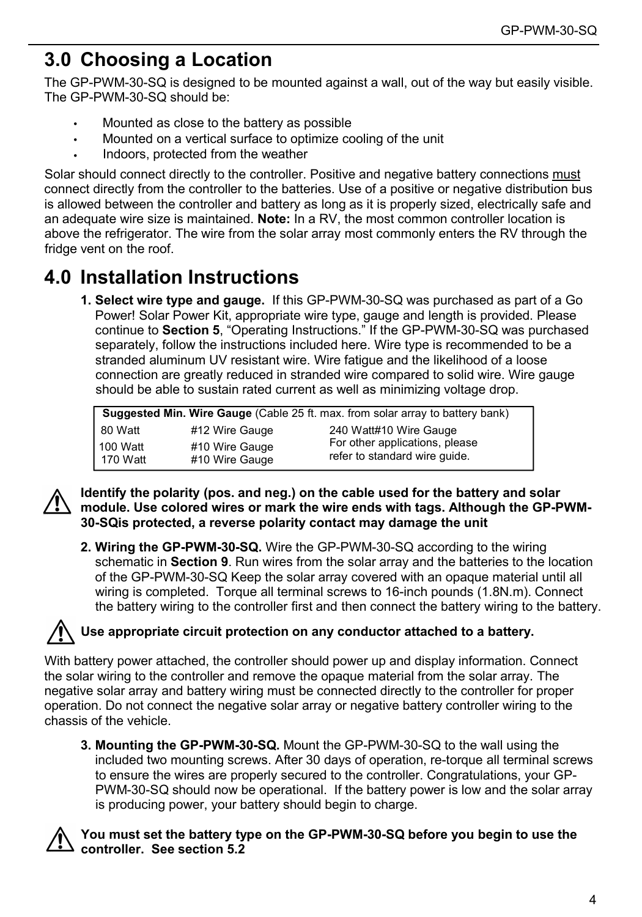# **3.0 Choosing a Location**

The GP-PWM-30-SQ is designed to be mounted against a wall, out of the way but easily visible. The GP-PWM-30-SQ should be:

- Mounted as close to the battery as possible
- Mounted on a vertical surface to optimize cooling of the unit
- Indoors, protected from the weather

Solar should connect directly to the controller. Positive and negative battery connections must connect directly from the controller to the batteries. Use of a positive or negative distribution bus is allowed between the controller and battery as long as it is properly sized, electrically safe and an adequate wire size is maintained. **Note:** In a RV, the most common controller location is above the refrigerator. The wire from the solar array most commonly enters the RV through the fridge vent on the roof.

# **4.0 Installation Instructions**

**1. Select wire type and gauge.** If this GP-PWM-30-SQ was purchased as part of a Go Power! Solar Power Kit, appropriate wire type, gauge and length is provided. Please continue to **Section 5**, "Operating Instructions." If the GP-PWM-30-SQ was purchased separately, follow the instructions included here. Wire type is recommended to be a stranded aluminum UV resistant wire. Wire fatigue and the likelihood of a loose connection are greatly reduced in stranded wire compared to solid wire. Wire gauge should be able to sustain rated current as well as minimizing voltage drop.

| Suggested Min. Wire Gauge (Cable 25 ft. max. from solar array to battery bank) |                                  |                                                                 |  |  |  |
|--------------------------------------------------------------------------------|----------------------------------|-----------------------------------------------------------------|--|--|--|
| 80 Watt                                                                        | #12 Wire Gauge                   | 240 Watt#10 Wire Gauge                                          |  |  |  |
| 100 Watt<br>170 Watt                                                           | #10 Wire Gauge<br>#10 Wire Gauge | For other applications, please<br>refer to standard wire quide. |  |  |  |



**Identify the polarity (pos. and neg.) on the cable used for the battery and solar module. Use colored wires or mark the wire ends with tags. Although the GP-PWM-30-SQis protected, a reverse polarity contact may damage the unit**

**2. Wiring the GP-PWM-30-SQ.** Wire the GP-PWM-30-SQ according to the wiring schematic in **Section 9**. Run wires from the solar array and the batteries to the location of the GP-PWM-30-SQ Keep the solar array covered with an opaque material until all wiring is completed. Torque all terminal screws to 16-inch pounds (1.8N.m). Connect the battery wiring to the controller first and then connect the battery wiring to the battery.

# **Use appropriate circuit protection on any conductor attached to a battery.**

With battery power attached, the controller should power up and display information. Connect the solar wiring to the controller and remove the opaque material from the solar array. The negative solar array and battery wiring must be connected directly to the controller for proper operation. Do not connect the negative solar array or negative battery controller wiring to the chassis of the vehicle.

**3. Mounting the GP-PWM-30-SQ.** Mount the GP-PWM-30-SQ to the wall using the included two mounting screws. After 30 days of operation, re-torque all terminal screws to ensure the wires are properly secured to the controller. Congratulations, your GP-PWM-30-SQ should now be operational. If the battery power is low and the solar array is producing power, your battery should begin to charge.



## **You must set the battery type on the GP-PWM-30-SQ before you begin to use the controller. See section 5.2**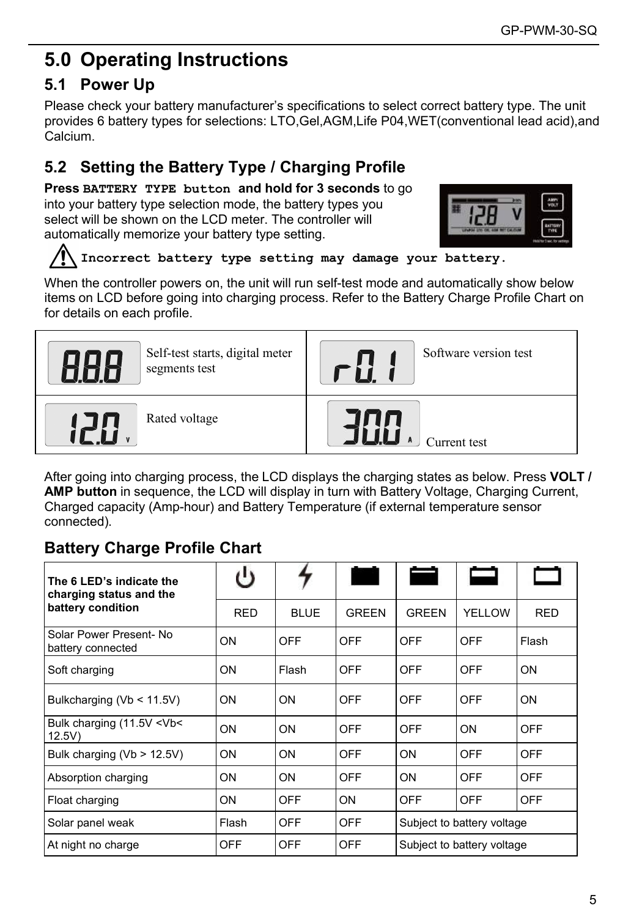# **5.0 Operating Instructions**

# **5.1 Power Up**

Please check your battery manufacturer's specifications to select correct battery type. The unit provides 6 battery types for selections: LTO,Gel,AGM,Life P04,WET(conventional lead acid),and Calcium.

# **5.2 Setting the Battery Type / Charging Profile**

**Press BATTERY TYPE button and hold for 3 seconds** to go into your battery type selection mode, the battery types you select will be shown on the LCD meter. The controller will automatically memorize your battery type setting.



# **Incorrect battery type setting may damage your battery.**

When the controller powers on, the unit will run self-test mode and automatically show below items on LCD before going into charging process. Refer to the Battery Charge Profile Chart on for details on each profile.

| Self-test starts, digital meter<br>segments test | Software version test |
|--------------------------------------------------|-----------------------|
| Rated voltage                                    | Jurrent test          |

After going into charging process, the LCD displays the charging states as below. Press **VOLT / AMP button** in sequence, the LCD will display in turn with Battery Voltage, Charging Current, Charged capacity (Amp-hour) and Battery Temperature (if external temperature sensor connected).

# **Battery Charge Profile Chart**

| The 6 LED's indicate the<br>charging status and the | ്യ         |             |              |                            |        |            |
|-----------------------------------------------------|------------|-------------|--------------|----------------------------|--------|------------|
| battery condition                                   | <b>RED</b> | <b>BLUE</b> | <b>GREEN</b> | <b>GREEN</b>               | YELLOW | <b>RED</b> |
| Solar Power Present- No<br>battery connected        | ON         | <b>OFF</b>  | OFF          | <b>OFF</b>                 | OFF    | Flash      |
| Soft charging                                       | ON         | Flash       | OFF          | <b>OFF</b>                 | OFF    | ON         |
| Bulkcharging (Vb < 11.5V)                           | ON         | ON          | OFF          | <b>OFF</b>                 | OFF    | ON         |
| Bulk charging (11.5V <vb<<br>12.5V</vb<<br>         | ON         | ON          | OFF          | <b>OFF</b>                 | ON     | OFF        |
| Bulk charging ( $Vb > 12.5V$ )                      | ON         | ON          | OFF          | ON                         | OFF    | <b>OFF</b> |
| Absorption charging                                 | ON         | ON          | OFF          | ON                         | OFF    | <b>OFF</b> |
| Float charging                                      | ON         | OFF         | <b>ON</b>    | OFF                        | OFF    | OFF        |
| Solar panel weak                                    | Flash      | OFF         | OFF          | Subject to battery voltage |        |            |
| At night no charge                                  | OFF        | OFF         | OFF          | Subject to battery voltage |        |            |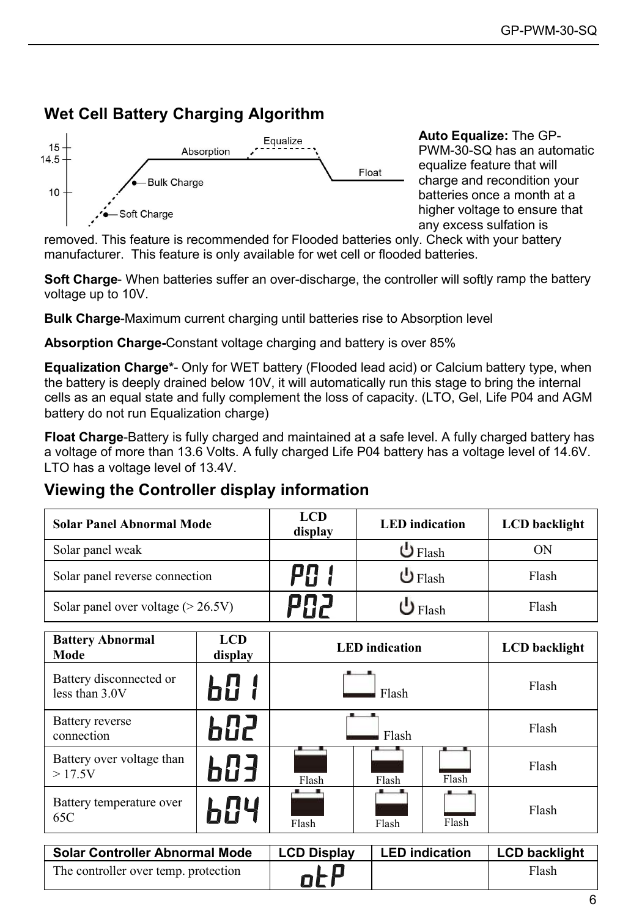# **Wet Cell Battery Charging Algorithm**



**Auto Equalize:** The GP-PWM-30-SQ has an automatic equalize feature that will charge and recondition your batteries once a month at a higher voltage to ensure that any excess sulfation is

removed. This feature is recommended for Flooded batteries only. Check with your battery manufacturer. This feature is only available for wet cell or flooded batteries.

**Soft Charge**- When batteries suffer an over-discharge, the controller will softly ramp the battery voltage up to 10V.

**Bulk Charge**-Maximum current charging until batteries rise to Absorption level

**Absorption Charge-**Constant voltage charging and battery is over 85%

**Equalization Charge\***- Only for WET battery (Flooded lead acid) or Calcium battery type, when the battery is deeply drained below 10V, it will automatically run this stage to bring the internal cells as an equal state and fully complement the loss of capacity. (LTO, Gel, Life P04 and AGM battery do not run Equalization charge)

**Float Charge**-Battery is fully charged and maintained at a safe level. A fully charged battery has a voltage of more than 13.6 Volts. A fully charged Life P04 battery has a voltage level of 14.6V. LTO has a voltage level of 13.4V.

# **Viewing the Controller display information**

| <b>Solar Panel Abnormal Mode</b>     | <b>LCD</b><br>display | <b>LED</b> indication | LCD backlight |
|--------------------------------------|-----------------------|-----------------------|---------------|
| Solar panel weak                     |                       | $\mathbf U$ Flash     | OΝ            |
| Solar panel reverse connection       | PR                    | $\mathbf U$ Flash     | Flash         |
| Solar panel over voltage $(> 26.5V)$ | anj.                  | $\mathbf{J}$ Flash    | Flash         |

| <b>Battery Abnormal</b><br>Mode             | <b>LCD</b><br>display | <b>LED</b> indication          |                       |                      | <b>LCD</b> backlight |
|---------------------------------------------|-----------------------|--------------------------------|-----------------------|----------------------|----------------------|
| Battery disconnected or<br>less than $3.0V$ | Ы:Е                   | Flash                          |                       |                      | Flash                |
| Battery reverse<br>connection               | 602                   | Flash                          |                       |                      | Flash                |
| Battery over voltage than<br>>17.5V         | 683                   | Flash                          | Flash                 | Flash                | Flash                |
| Battery temperature over<br>65C             | 604                   | . .<br>Flash<br>Flash<br>Flash |                       | Flash                |                      |
| <b>Solar Controller Abnormal Mode</b>       |                       |                                | <b>LED</b> indication | <b>LCD backlight</b> |                      |
|                                             | <b>LCD Display</b>    |                                |                       |                      |                      |
| The controller over temp, protection        |                       | --                             |                       |                      | Flash                |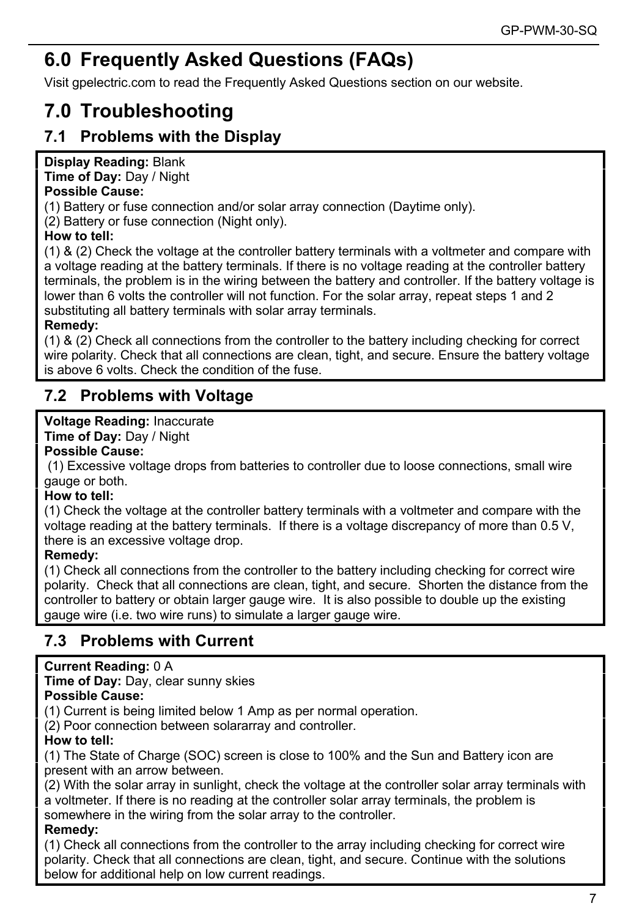# GP-PWM-30-SQ<br> **6.0 Frequently Asked Questions (FAQs)**<br>
Visit gpelectric.com to read the Frequently Asked Questions section on our website.<br> **7.0 Troubleshooting**<br>
7.1 Problems with the Display<br>
Display Reading: Blank GP-PWM-30-SQ<br> **CGP-PWM-30-SQ**<br>
Visit gpelectric.com to read the Frequently Asked Questions section on our website.<br> **7.0 Troubleshooting**<br>
T.1 Problems with the Display **6.0 Frequently Asked Questions (FAQs)**<br>Visit gpelectric.com to read the Frequently Asked Questions section on c<br>**7.0 Troubleshooting**<br>**7.1 Problems with the Display<br>Display Reading: Blank**<br>Time of Day: Day / Night<br>**Possib 6.0 Frequently Asked Questions (FAQs)**<br>Visit gpelectric.com to read the Frequently Asked Questions section on ou<br>**7.0 Troubleshooting**<br>**7.1 Problems with the Display<br>Display Reading: Blank**<br>Time of Day: Day / Night<br>Possib **6.0 Frequently Asked Questi**<br>Visit gpelectric.com to read the Frequently Ask<br>**7.0 Troubleshooting**<br>**7.1 Problems with the Display<br>Display Reading: Blank<br>Time of Day: Day / Night<br>Possible Cause:<br>(1) Battery or fuse connect 6.0 Frequently Asked Questions (**<br>Visit gpelectric.com to read the Frequently Asked Que<br>**7.0 Troubleshooting**<br>**7.1 Problems with the Display<br>Display Reading: Blank**<br>Time of Day: Day / Night<br>Possible Cause:<br>(1) Battery or **6.0 Frequently Asked Ques**<br>Visit gpelectric.com to read the Frequently A<br>**7.0 Troubleshooting**<br>**7.1 Problems with the Display<br>Display Reading: Blank<br>Time of Day: Day / Night<br>Possible Cause:<br>(1) Battery or fuse connection**

<span id="page-6-0"></span>

GP-PWM-30-SQ<br> **6.0 Frequently Asked Questions (FAQs)**<br>
Visit gpelectric.com to read the Frequently Asked Questions section on our website.<br> **7.0 Troubleshooting**<br> **7.1 Problems with the Display<br>
Display Reading:** Blank<br>
Di **6.0 Frequently Asked Questions (FAQs)**<br>Visit gpelectric.com to read the Frequently Asked Questions section on<br>**7.0 Troubleshooting**<br>**7.1 Problems with the Display<br>Display Reading: Blank**<br>Time of Day: Day / Night<br>**Possible 6.0 Frequently Asked Que**<br>Visit gpelectric.com to read the Frequently<br>**7.0 Troubleshooting**<br>**7.1 Problems with the Display**<br>Display Reading: Blank<br>Time of Day: Day / Night<br>Possible Cause:<br>(1) Battery or fuse connection an **6.0 Frequerity Asked Questions (FAQS)**<br>Visit gpelectric.com to read the Frequently Asked Questions section on our website.<br>**7.0 Troubleshooting**<br>**17.1 Problems with the Display<br>Time of Day:** Day / Night<br>**Time of Day:** Day Visit gpelectric.com to read the Frequently Asked Questions section on our website.<br> **7.0 Troubleshooting**<br> **7.1 Problems with the Display**<br> **Display Reading:** Blank<br> **Possible Cause:**<br> **Possible Cause:**<br>
(1) Battery or fu **7.0 Troubleshooting**<br> **7.1 Problems with the Display**<br> **Display Reading: Blank**<br> **Time of Day:** Day / Night<br> **1** (1) Battery or fuse connection and/or solar array connection (Daytime only).<br>
(2) Battery or fuse connectio **7.0 Troubleshooting**<br> **7.1 Problems with the Display**<br>
Display Reading: Blank<br>
Time of Day: Day / Night<br> **Possible Cause:**<br>
(1) Battery or fuse connection and/or solar array connection (Daytime only).<br>
(2) Battery to fus 7.1 Problems with the Display<br>
Display Reading: Blank<br>
Time of Day: Day / Night<br>
Possible Cause:<br>
(1) Battery or fuse connection and/or solar array connection (Daytime only).<br>
(2) Battery or fuse connection (Night only).<br> Display Reading: Blank<br>
Time of Day: Day / Night<br>
Possible Cause:<br>
(1) Battery or fuse connection and/or solar array connection (Daytime only).<br>
(2) Battery or fuse connection (Night only).<br>
How to tell:<br>
(1) & (2) Check t **Example The off Day:** Dark that all connection and/or solar array connection (Daytime only).<br>
(1) Battery or fuse connection and/or solar array connection (Daytime only).<br>
(2) Battery or fuse connection (Night only).<br>
Ho Frame of Exertical connection and/or solar array connection (Daytime only).<br>
Possible Cause:<br>
(1) Battery or fuse connection (Night only).<br>
How to tell:<br>
(1) & (2) Check the voltage at the controller battery terminals wit Time of Day: Day / Night<br> **Possible Cause:**<br>
(1) Battery or fuse connection and/or solar array connection (Daytime<br>
(2) Battery or fuse connection (Night only).<br> **How to tell:**<br>
(1) & (2) Check the voltage at the controlle **How to em:**<br>
(1) & (2) Check the voltage at the controller battery ten<br>
a voltage reading at the battery terminals. If there is no<br>
a voltage Reading at the battery terminals. If there is no<br>
forminals, the problem is in (1) & (2) Check the voltage at the controller battery ter<br>a voltage reading at the battery terminals. If there is no<br>terminals, the problem is in the wiring between the bat<br>lower than 6 volts the controller will not functi a voltage reading at the battery terminals. In<br>terminals, the problem is in the wiring betwee<br>lower than 6 volts the controller will not function<br>substituting all battery terminals with solar at<br>**Remedy:**<br>(1) & (2) Check a erminals, the problem is in the wiring between the battery and controller. If the battery voltage is<br>substituting all battery terminals with solar array terminals.<br>substituting all battery terminals with solar array termin

**Remedy:**<br>(1) & (2) Check all connections from the controller to the battery including checking for correct lower than 6 volts the controller will not func<br>substituting all battery terminals with solar a<br>**Remedy:**<br>(1) & (2) Check all connections from the cor<br>wire polarity. Check that all connections are<br>is above 6 volts. Check t subsitually all battery terminals with solar<br> **Remedy:**<br>
(1) & (2) Check all connections from the complete ovire polarity. Check that all connections are<br>
is above 6 volts. Check the condition of the<br> **7.2 Problems with Vo Remedy:**<br>
(1) & (2) Check that all connections from the controller to the battery including checking for correct<br>
wire polarity. Check that all connections are clean, tight, and secure. Ensure the battery voltage<br> **T.2 Pr** (1) & (2) Check all connections from the controller to the battery including checking for correct<br>wire polarity. Check that all connections are clean, tight, and secure. Ensure the battery voltage<br>is above 6 volts. Check

# **Remedy:**

wire polarity. Check that all connections are clean, tight, and set<br>is above 6 volts. Check the condition of the fuse.<br> **7.2 Problems with Voltage**<br> **Voltage Reading:** Inaccurate<br> **Time of Day:** Day / Night<br> **Possible Caus** 7.2 Problems with Voltage<br>
Voltage Reading: Inaccurate<br>
Time of Day: Day / Night<br>
Possible Cause:<br>
(1) Excessive voltage drops from batteries to controller due to loose connections, small wire<br>
gauge or both.<br>
How to tell 7.2 Problems with Voltage<br>
Voltage Reading: Inaccurate<br>
Time of Day: Day / Night<br>
Possible Cause:<br>
(1) Excessive voltage drops from batteries to controller due to loose connections, small wire<br>
(3) Check the voltage at th **Voltage Reading:** Inaccurate<br> **Time of Day:** Day / Night<br> **Possible Cause:**<br>
(1) Excessive voltage drops from batteries to controller due to loose connections, small wire<br>
(4) Check the voltage at the controller battery **Fine of Day:** Day / Night<br> **Time of Day:** Day / Night<br> **Possible Cause:**<br>
(1) Excessive voltage drops from batteries to controller due to loose connections, small wire<br> **How to tell:**<br> **How to tell:**<br>
(1) Check the volta **Yoltage Reading:** Inaccurate<br> **Time of Day:** Day / Night<br> **Possible Cause:**<br> **7.3.15 Prossive voltage drops from batteries to controller due to loose**<br>
(1) Excessive voltage at the controller battery terminals with a volt gauge or both.<br> **How to tell:**<br>
(1) Check the voltage at the controller battery terminals<br>
voltage reading at the battery terminals. If there is a vo<br>
there is an excessive voltage drop.<br> **Remedy:**<br>
(1) Check all connectio **Frow to tell:**<br>
(1) Check the voltage at the controller battery terminals with a volt<br>
voltage reading at the battery terminals. If there is a voltage discri-<br>
there is an excessive voltage drop.<br> **Remedy:**<br> **Remedy:**<br> **T** (1) Crieck the voltage at the controller batter<br>voltage reading at the battery terminals. If the<br>there is an excessive voltage drop.<br>**Remedy:**<br>(1) Check all connections from the controller<br>polarity. Check that all connecti voltage reading at the battery terminals. If there is a voltage discrepancy of more than 0.5<br>
there is an excessive voltage drop.<br> **Remedy:**<br> **Remedy:**<br> **Current is all connections from the controller to the battery includ** there is an excessive voltage drop.<br> **Remedy:**<br>
(1) Check all connections from the controller to the battery including checking for<br>
(polarity. Check that all connections are clean, tight, and secure. Shorten the d<br>
contro **Homeourity:**<br>
(1) Check all connections from the controll<br>
polarity. Check that all connections are cle<br>
controller to battery or obtain larger gauge<br>
gauge wire (i.e. two wire runs) to simulate<br> **7.3 Problems with Curren** (1) Check all connections from the controller to the battery including checking for correct wire<br>polarity. Check that all connections are clean, tight, and secure. Shorten the distance from the<br>controller to battery or ob polarity. Check that all connections are clean, tight, and<br>controller to battery or obtain larger gauge wire. It is also<br>gauge wire (i.e. two wire runs) to simulate a larger gauge<br>7.3 Problems with Current<br>Current Reading:

controller to battery or obtain larger gauge wire. It is also possible to double up the existing<br>gauge wire (i.e. two wire runs) to simulate a larger gauge wire.<br> **7.3 Problems with Current**<br> **Current Reading:** 0 A<br> **Time** gauge wire (i.e. two wire runs) to simulate a larger gauge wire.<br> **7.3 Problems with Current**<br> **Current Reading: 0 A**<br> **Time of Day:** Day, clear sunny skies<br> **Possible Cause:**<br>
(1) Current is being limited below 1 Amp as p Current Reading: 0 A<br>
Time of Day: Day, clear sunny skies<br>
Possible Cause:<br>
(1) Current is being limited below 1 Amp as per normal operation.<br>
(2) Poor connection between solararray and controller.<br>
How to tell:<br>
(1) The S **Chinen Frequity:** OF A cheating: Connection space of Day: Day, clear sump skies<br> **Possible Cause:**<br>
(2) Poor connection between solararray and controller.<br>
(2) Poor connection between solararray and controller.<br> **How to t** 

**7.3 Problems with Current**<br> **Current Reading:** 0 A<br> **Time of Day:** Day, clear sunny skies<br> **Possible Cause:**<br> **(1)** Current is being limited below 1 Amp as per normal operation.<br>
(2) Poor connection between solar<br> **array Remedy:**<br>(1) Check all connections from the controller to the array including checking for correct wire below for additional help on low current readings.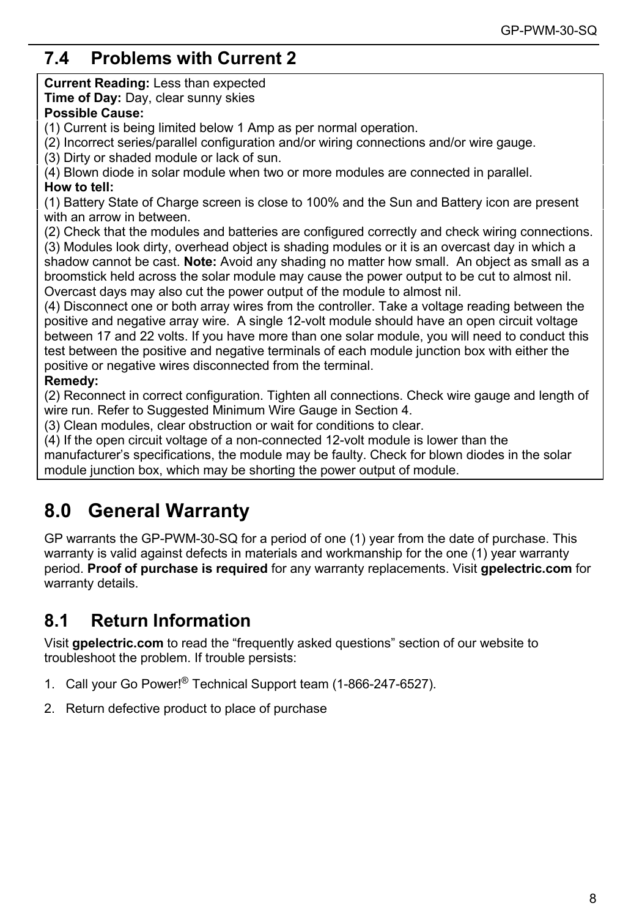# **7.4 Problems with Current 2**<br> **Current Reading:** Less than expected<br> **Time of Day:** Day, clear sunny skies<br> **Possible Cause:**<br>
(1) Current is being limited below 1 Amp as<br>
(2) Incorrect series/parallel configuration and<br>

<span id="page-7-0"></span>

**7.4 Problems with Current 2**<br> **Current Reading:** Less than expected<br> **Time of Day:** Day, clear sunny skies<br> **Possible Cause:**<br>
(1) Current is being limited below 1 Amp as per normal operation.<br>
(2) Incorrect series/parall **7.4 Problems with Current 2**<br> **Current Reading:** Less than expected<br> **Time of Day:** Day, clear sunny skies<br> **Possible Cause:**<br>
(1) Current is being limited below 1 Amp as per normal operatio<br>
(2) Incorrect series/parallel **T.4 Problems with Current 2**<br> **Current Reading:** Less than expected<br> **Time of Day:** Day, clear sunny skies<br> **Possible Cause:**<br>
(1) Current is being limited below 1 Amp as per normal operation.<br>
(2) Incorrect series/parall

GP-PWM<br> **7.4 Problems with Current 2**<br>
Current Reading: Less than expected<br> **Possible Cause:**<br> **Possible Cause:**<br>
(1) Current is being limited below 1 Amp as per normal operation.<br>
(2) Incorrect series/parallel configurati

(2) T.4 **Problems with Current 2**<br>
Current Reading: Less than expected<br>
Time of Day: Day, clear sunny skies<br>
The of Day: Day, clear sunny skies<br>
(1) Current is being limited below 1 Amp as per normal operation.<br>
(2) Incorr **7.4 Problems with Current 2**<br> **Current Reading:** Less than expected<br> **Time of Day:** Day, clear sunny skies<br> **Possible Cause:**<br>
(2) Incorret is being limited below 1 Amp as per normal operation.<br>
(2) Incorrect series/paral (4) **Problems with Current 2**<br> **Current Reading:** Less than expected<br> **Trime of Day:** Day, clear sunny skies<br> **Possible Cause:**<br>
(1) Current is being limited below 1 Amp as per normal operation.<br>
(2) Incorrect series/paral

**7.4 Problems with Current**<br> **Current Reading:** Less than expected<br> **Time of Day:** Day, clear sunny skies<br> **Possible Cause:**<br>
(1) Current is being limited below 1 Amp a<br>
(2) Incorrect series/parallel configuration a<br>
(3) D (1) Battery State of Charge screen is close to 100% and the Sun and operation.<br>
The of Day: Day, clear sump skies<br>
Possible Cause:<br>
(2) Incorrect series/parallel configuration and/or wiring connections and/or wire gauge.<br> 7.4 Problems with Current 2<br>Current Reading: Less than expected<br>Time of Day: Day, clear sunny skies<br>Possible Cause:<br>(1) Current is being limited below 1 Amp as per nor<br>(2) Incorrect series/parallel configuration and/or wii 7.4 Problems with Current 2<br>
Current Reading: Less than expected<br>
Time of Day: Day, clear sunny skies<br>
Possible Cause:<br>
(1) Current is being limited below 1 Amp as per normal operation.<br>
(2) Introrect series/parallel confi 7.4 **Problems with Current 2**<br>
Current Reading: Less than expected<br> **Possible Cause:**<br>
Possible Cause:<br>
(1) Current is being limited below 1 Amp as per normal operation.<br>
(2) Incorrect series/parallel configuration and/or Current Reading: Less than expected<br>
Time of Day: Day, clear sumry skies<br> **Possible Cause:**<br>
(1) Current is being limited below 1 Amp as per normal operation.<br>
(2) Incorrect series/parallel configuration and/or wiring conn **CONTERT TREATM THE SOLAR SETT SASS THAT SASS THE SOLAR STATE OF DRY.** THE **of Day**: Day, clear sumply skies<br>
(1) Current is being limited below 1 Amp as per normal operation.<br>
(3) Dirty or shaded module or lack of sun.<br>
( **Frame Transform and the power cutron and and the module to almost the power and almost the power of the module of the module of the module of the sum and**  $(4)$  **Bluw diode in solar module when two or more modules are conne** 

For System Connect one or both array wires from the controller. Take a voltage reading between the positive or hadden or both array wire or both array wire the positive of ella.<br>
(4) Disrum dide in solar module when two or (1) currents being immed becow in Arring as bein from the terminal conference of the terminal conference (3) Dirty or shaded module or lack of sun.<br>
(4) Blown diode in solar module when two or more modules are connected in (3) Dirty or shaded module or lack of sun.<br>
(3) Dirty or shaded module or lack of sun.<br>
(4) Blown diode in solar module when two or more modules are connected in parallel.<br> **How to tell:**<br>
19 Dattery State of Charge screen (a) Blown diode in solar module when two or sun:<br>(4) Blown diode in solar module when two or more modules are connected in parallel.<br> **How to tell:**<br>
(1) Battery State of Charge screen is close to 100% and the Sun and Batt (+) Down routed in solar incoduc when two of mole incoducs are connected in parall (1) Battery State of Charge screen is close to 100% and the Sun and Battery icon a with an arrow in between.<br>
(2) Check that the modules an (1) Dateivy state or oriany estable that the module is one to the summate the configuration are present (2) Check that the modules and batteries are configured correctly and check wiring connections.<br>
(3) Modules look dirt what an altow in between.<br>(2) Check that the modules and batteries are configured correctly and check wiring connections.<br>(3) Modules look dirty, overhead object is shading modules or it is an overcast day in which a<br>shado (2) check mar the incoures and batteries are coming to chreat with the conditions to help sume the solar module incondition or which a shadow cannot be cast. **Note:** Avoid any shading modules or it is an overcast day in wh (3) Moutubes look antity, overhead object is snading incountes of it is an overcast day in which a broomstick held across the solar module may cause the power output to be cut to almost nil.<br>Overcast days may also cut the Shactive Cash. We can the module may shacting in the mether how small. And opperate solar and as a Dyercast days may also cut the power output of the module to almost nil.<br>(4) Disconnect one or both array wires from the co Doursal the action box, which may be the power output of module.<br> **Sources the power output of the module to almost hil.**<br>
(4) Disconnect one or both array wires from the controller. Take a voltage reading between the posi (2) Modules look dirty, overhead object is shading modules or it is an overhead object is shading modules or it is an overhead object is shading modules or it is an overhead object and conduct many cause the power output o

**Remedy:**<br>(2) Reconnect in correct configuration. Tighten all connections. Check wire gauge and length of

test between the positive and negative terminals of each module junction box with either the positive or negative wires disconnected from the terminal.<br> **Remedy:**<br>
(2) Reconnect in correct configuration. Tighten all connec positive or negative wires disconnected from the terminal.<br> **Remedy:**<br> **Remedy:**<br> **Remedying and the Cauge in Section 4.**<br>
(2) Reconnect in correct configuration. Tighten all connections. Check wire gauge and length of<br>
(4 **Remedy:**<br>
(2) Reconnect in correct configuration. Tighten all connections. Check wire gauge and length of<br>
(3) Clean modules, clear obstruction or wait for conditions to clear.<br>
(4) If the open circuit voldage of a non-co (2) Reconnect in correct configuration. Tigh<br>wire run. Refer to Suggested Minimum Wire<br>(3) Clean modules, clear obstruction or wait<br>(4) If the open circuit voltage of a non-conne<br>manufacture's specifications, the module n<br> **Example 12**<br> **Remedy:**<br> **Remedy:**<br> **Remedy:**<br> **C2)** Reconnect in correct configuration. Tighten all connections. Check wither num. Nefer to Suggested Minimum Wire Gauge in Section 4.<br> **(3)** Clean modules, clear obstructio manufacturer's specifications, the module may be faulty. Check for blown diodes in the solar<br>module junction box, which may be shorting the power output of module.<br> **8.0 General Warranty**<br>
GP warrants the GP-PWM-30-SQ for module junction box, which may be shorting the power output of modu<br> **8.0 General Warranty**<br>
GP warrants the GP-PWM-30-SQ for a period of one (1) year from the<br>
warranty is valid against defects in materials and workmanshi 1. **3.0** General Warranty<br>
GP warrants the GP-PWM-30-SQ for a period of one (1) year from the date of purcha<br>
warranty is valid against defects in materials and workmanship for the one (1) year w<br>
period. Proof of purchase 2. Concerner Prefixed Solid of the date of the date warranty is valid against defects in materials and workmanship for the one period. Proof of purchase is required for any warranty replacements. Visual varianty details.<br>

- 
-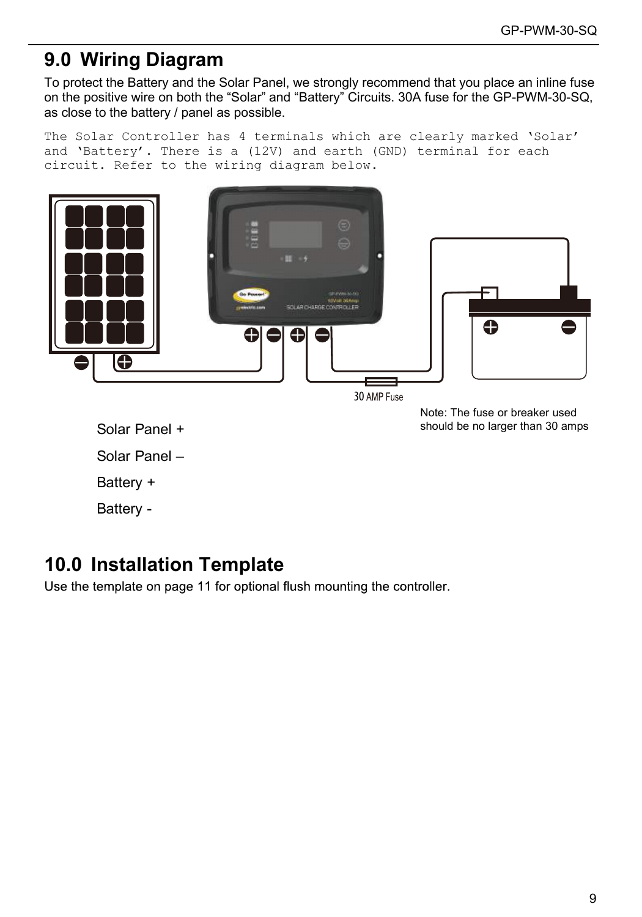# <span id="page-8-0"></span>**9.0 Wiring Diagram**

To protect the Battery and the Solar Panel, we strongly recommend that you place an inline fuse on the positive wire on both the "Solar" and "Battery" Circuits. 30A fuse for the GP-PWM-30-SQ, as close to the battery / panel as possible.

The Solar Controller has 4 terminals which are clearly marked 'Solar' and 'Battery'. There is a (12V) and earth (GND) terminal for each circuit. Refer to the wiring diagram below.



Solar Panel + Solar Panel + Solar Panel + Solar Panel + Solar Panel + Solar Panel + Solar Panel + Solar Panel + Solar Panel + Solar Panel + Solar Panel + Solar Panel + Solar Panel + Solar Panel + Solar Panel + Solar Panel

Solar Panel –

Battery +

Battery -

# **10.0 Installation Template**

Use the template on page 11 for optional flush mounting the controller.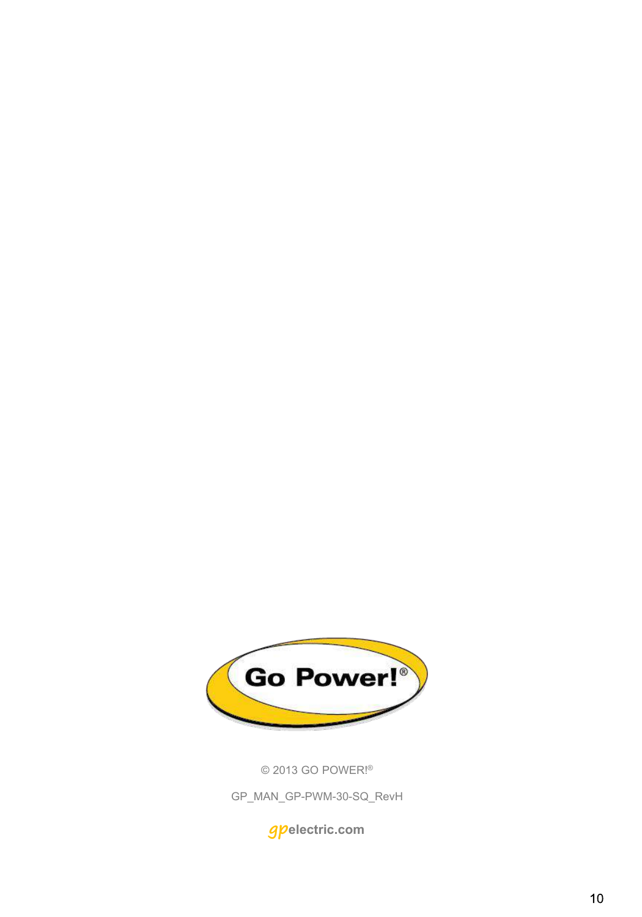

© 2013 GO POWER!®

GP\_MAN\_GP-PWM-30-SQ\_RevH

**gpelectric.com**